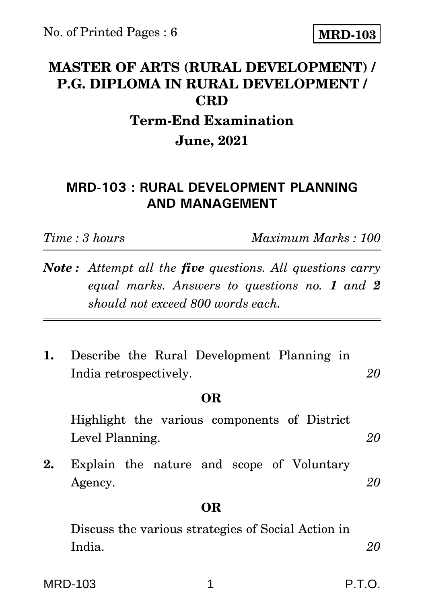## **MASTER OF ARTS (RURAL DEVELOPMENT) / P.G. DIPLOMA IN RURAL DEVELOPMENT / CRD**

# **Term-End Examination June, 2021**

## **MRD-103 : RURAL DEVELOPMENT PLANNING AND MANAGEMENT**

*Time : 3 hours Maximum Marks : 100*

- *Note : Attempt all the five questions. All questions carry equal marks. Answers to questions no. 1 and 2 should not exceed 800 words each.*
- **1.** Describe the Rural Development Planning in India retrospectively. *20*

### **OR**

Highlight the various components of District Level Planning. *20*

**2.** Explain the nature and scope of Voluntary Agency. 20

## **OR**

Discuss the various strategies of Social Action in India. *20*

MRD-103 1 P.T.O. P.T.O.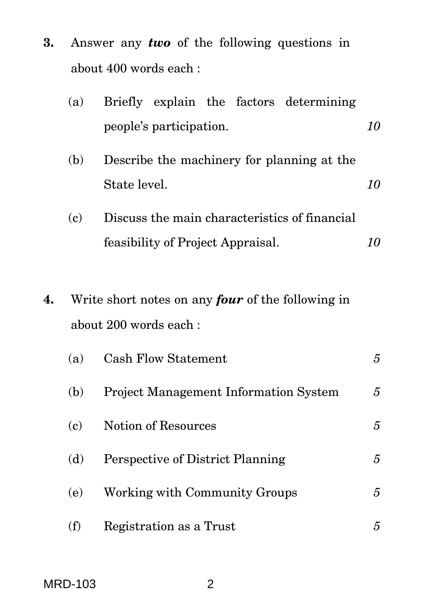|                       |  |  |  |  | <b>3.</b> Answer any <i>two</i> of the following questions in |  |
|-----------------------|--|--|--|--|---------------------------------------------------------------|--|
| about 400 words each: |  |  |  |  |                                                               |  |

|    | (a)                                                      |                                               |  |  |  | Briefly explain the factors determining |    |  |
|----|----------------------------------------------------------|-----------------------------------------------|--|--|--|-----------------------------------------|----|--|
|    |                                                          | people's participation.                       |  |  |  |                                         |    |  |
|    | (b)                                                      | Describe the machinery for planning at the    |  |  |  |                                         |    |  |
|    |                                                          | State level.                                  |  |  |  |                                         | 10 |  |
|    | (c)                                                      | Discuss the main characteristics of financial |  |  |  |                                         |    |  |
|    |                                                          | feasibility of Project Appraisal.             |  |  |  |                                         | 10 |  |
|    |                                                          |                                               |  |  |  |                                         |    |  |
| 4. | Write short notes on any <b>four</b> of the following in |                                               |  |  |  |                                         |    |  |
|    | about 200 words each:                                    |                                               |  |  |  |                                         |    |  |
|    |                                                          |                                               |  |  |  |                                         |    |  |

| (a) | <b>Cash Flow Statement</b>                   | 5 |
|-----|----------------------------------------------|---|
| (b) | <b>Project Management Information System</b> | 5 |
| (c) | Notion of Resources                          | 5 |
| (d) | Perspective of District Planning             | 5 |
| (e) | Working with Community Groups                | 5 |
| (f) | Registration as a Trust                      | 5 |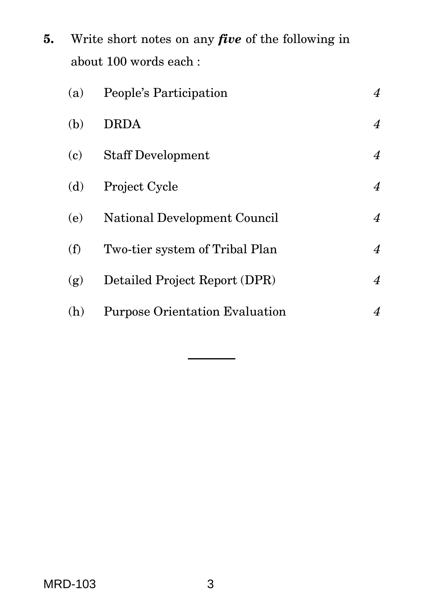**5.** Write short notes on any *five* of the following in about 100 words each :

| (a) | People's Participation                | 4              |
|-----|---------------------------------------|----------------|
| (b) | <b>DRDA</b>                           | 4              |
| (c) | <b>Staff Development</b>              | 4              |
| (d) | Project Cycle                         | 4              |
| (e) | National Development Council          | 4              |
| (f) | Two-tier system of Tribal Plan        | $\overline{4}$ |
| (g) | Detailed Project Report (DPR)         | $\overline{4}$ |
| (h) | <b>Purpose Orientation Evaluation</b> | 4              |
|     |                                       |                |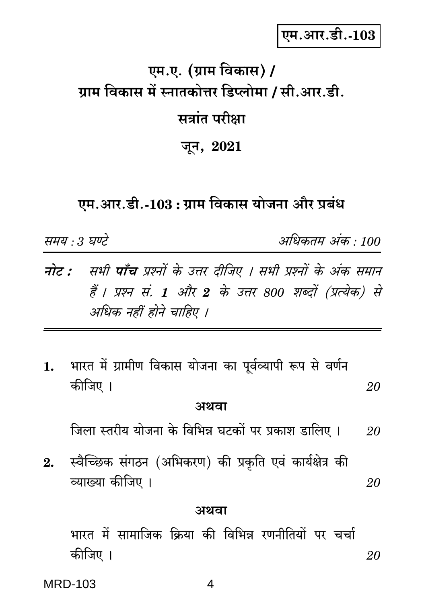एम.आर.डी.-103

# एम.ए. (ग्राम विकास) / ग्राम विकास में स्नातकोत्तर डिप्लोमा / सी.आर.डी. सत्रांत परीक्षा

जून, 2021

## एम.आर.डी.-103 : ग्राम विकास योजना और प्रबंध

समय : 3 घण्टे

अधिकतम अंक : 100

- **नोट :** सभी **पाँच** प्रश्नों के उत्तर दीजिए । सभी प्रश्नों के अंक समान हैं । प्रश्न सं. 1 और 2 के उत्तर 800 शब्दों (प्रत्येक) से अधिक नहीं होने चाहिए ।
- भारत में ग्रामीण विकास योजना का पूर्वव्यापी रूप से वर्णन 1. कीजिए । 20

#### अथवा

जिला स्तरीय योजना के विभिन्न घटकों पर प्रकाश डालिए । 20

स्वैच्छिक संगठन (अभिकरण) की प्रकृति एवं कार्यक्षेत्र की  $2.$ व्याख्या कीजिए । 20

#### अथवा

भारत में सामाजिक क्रिया की विभिन्न रणनीतियों पर चर्चा कीजिए । 20

**MRD-103** 

4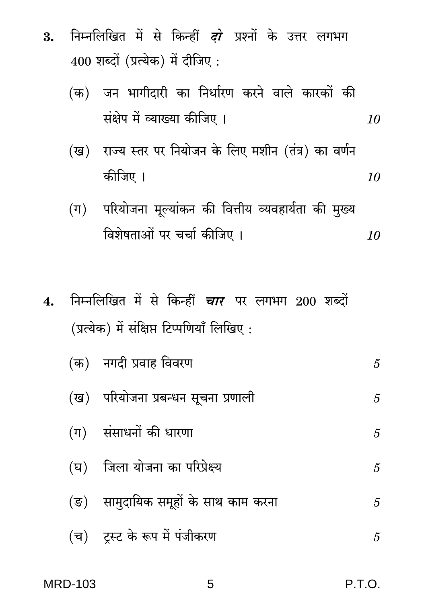- निम्नलिखित में से किन्हीं *दो* प्रश्नों के उत्तर लगभग 3.  $400$  शब्दों (प्रत्येक) में दीजिए:
	- (क) जन भागीदारी का निर्धारण करने वाले कारकों की संक्षेप में व्याख्या कीजिए । 10
	- (ख) राज्य स्तर पर नियोजन के लिए मशीन (तंत्र) का वर्णन कीजिए । 10
	- (ग) परियोजना मूल्यांकन की वित्तीय व्यवहार्यता की मुख्य विशेषताओं पर चर्चा कीजिए । 10
- निम्नलिखित में से किन्हीं *चार* पर लगभग 200 शब्दों  $4.$ (प्रत्येक) में संक्षिप्त टिप्पणियाँ लिखिए:

|  | (क)   नगदी प्रवाह विवरण                | 5 |
|--|----------------------------------------|---|
|  | (ख) परियोजना प्रबन्धन सूचना प्रणाली    | 5 |
|  | (ग) संसाधनों की धारणा                  | 5 |
|  | (घ) जिला योजना का परिप्रेक्ष्य         | 5 |
|  | (ङ)   सामुदायिक समूहों के साथ काम करना | 5 |
|  | (च) ट्रस्ट के रूप में पंजीकरण          | 5 |

|  |  | <b>MRD-103</b> |  |  |
|--|--|----------------|--|--|
|--|--|----------------|--|--|

5